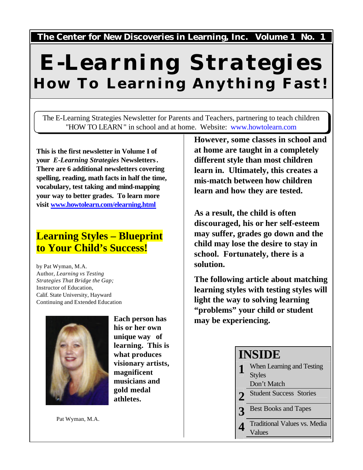**The Center for New Discoveries in Learning, Inc. Volume 1 No. 1**

# *E-Learning Strategies* **How To Learning Anything Fast!**

The E-Learning Strategies Newsletter for Parents and Teachers, partnering to teach children "HOW TO LEARN " in school and at home. Website: [www.howtolearn.com](http://www.howtolearn.com) 

**This is the first newsletter in Volume I of your** *E-Learning Strategies* **Newsletters. There are 6 additional newsletters covering spelling, reading, math facts in half the time, vocabulary, test taking and mind-mapping your way to better grades. To learn more visit [www.howtolearn.com/elearning.html](http://www.howtolearn.com/elearning.html)**

# **Learning Styles – Blueprint to Your Child's Success!**

by Pat Wyman, M.A. Author, *Learning vs Testing Strategies That Bridge the Gap;* Instructor of Education, Calif. State University, Hayward Continuing and Extended Education



**Each person has his or her own unique way of learning. This is what produces visionary artists, magnificent musicians and gold medal athletes.** 

Pat Wyman, M.A.

**However, some classes in school and at home are taught in a completely different style than most children learn in. Ultimately, this creates a mis-match between how children learn and how they are tested.**

**As a result, the child is often discouraged, his or her self-esteem may suffer, grades go down and the child may lose the desire to stay in school. Fortunately, there is a solution.** 

**The following article about matching learning styles with testing styles will light the way to solving learning "problems" your child or student may be experiencing.**

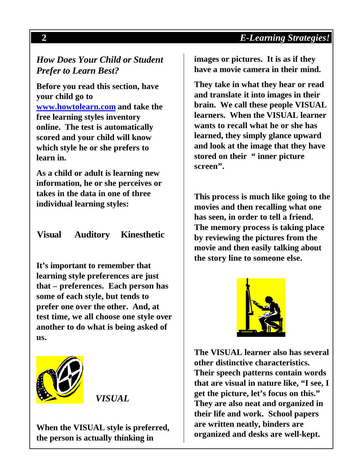## *How Does Your Child or Student Prefer to Learn Best?*

**Before you read this section, have your child go to [www.howtolearn.com](http://www.howtolearn.com) and take the free learning styles inventory online. The test is automatically scored and your child will know which style he or she prefers to learn in.** 

**As a child or adult is learning new information, he or she perceives or takes in the data in one of three individual learning styles:**

**Visual Auditory Kinesthetic**

**It's important to remember that learning style preferences are just that – preferences. Each person has some of each style, but tends to prefer one over the other. And, at test time, we all choose one style over another to do what is being asked of us.**



*VISUAL* 

**When the VISUAL style is preferred, the person is actually thinking in** 

**images or pictures. It is as if they have a movie camera in their mind.** 

**They take in what they hear or read and translate it into images in their brain. We call these people VISUAL learners. When the VISUAL learner wants to recall what he or she has learned, they simply glance upward and look at the image that they have stored on their " inner picture screen".** 

**This process is much like going to the movies and then recalling what one has seen, in order to tell a friend. The memory process is taking place by reviewing the pictures from the movie and then easily talking about the story line to someone else.**



**The VISUAL learner also has several other distinctive characteristics. Their speech patterns contain words that are visual in nature like, "I see, I get the picture, let's focus on this." They are also neat and organized in their life and work. School papers are written neatly, binders are organized and desks are well-kept.**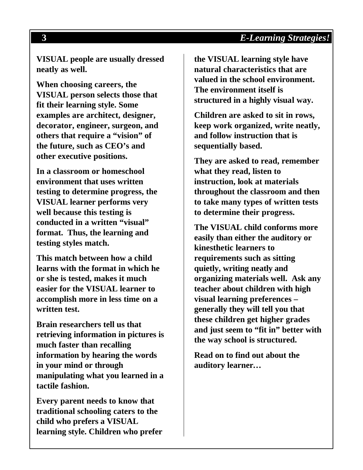**VISUAL people are usually dressed neatly as well.**

**When choosing careers, the VISUAL person selects those that fit their learning style. Some examples are architect, designer, decorator, engineer, surgeon, and others that require a "vision" of the future, such as CEO's and other executive positions.**

**In a classroom or homeschool environment that uses written testing to determine progress, the VISUAL learner performs very well because this testing is conducted in a written "visual" format. Thus, the learning and testing styles match.** 

**This match between how a child learns with the format in which he or she is tested, makes it much easier for the VISUAL learner to accomplish more in less time on a written test.** 

**Brain researchers tell us that retrieving information in pictures is much faster than recalling information by hearing the words in your mind or through manipulating what you learned in a tactile fashion.** 

**Every parent needs to know that traditional schooling caters to the child who prefers a VISUAL learning style. Children who prefer** 

**the VISUAL learning style have natural characteristics that are valued in the school environment. The environment itself is structured in a highly visual way.** 

**Children are asked to sit in rows, keep work organized, write neatly, and follow instruction that is sequentially based.** 

**They are asked to read, remember what they read, listen to instruction, look at materials throughout the classroom and then to take many types of written tests to determine their progress.** 

**The VISUAL child conforms more easily than either the auditory or kinesthetic learners to requirements such as sitting quietly, writing neatly and organizing materials well. Ask any teacher about children with high visual learning preferences – generally they will tell you that these children get higher grades and just seem to "fit in" better with the way school is structured.**

**Read on to find out about the auditory learner…**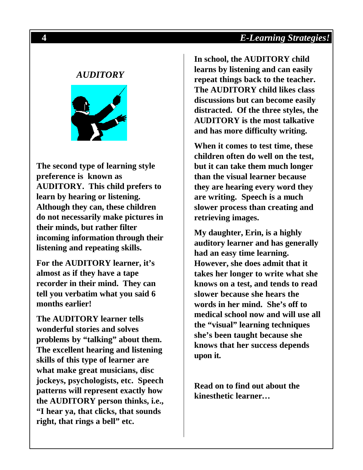#### *AUDITORY*



**The second type of learning style preference is known as AUDITORY. This child prefers to learn by hearing or listening. Although they can, these children do not necessarily make pictures in their minds, but rather filter incoming information through their listening and repeating skills.**

**For the AUDITORY learner, it's almost as if they have a tape recorder in their mind. They can tell you verbatim what you said 6 months earlier!**

**The AUDITORY learner tells wonderful stories and solves problems by "talking" about them. The excellent hearing and listening skills of this type of learner are what make great musicians, disc jockeys, psychologists, etc. Speech patterns will represent exactly how the AUDITORY person thinks, i.e., "I hear ya, that clicks, that sounds right, that rings a bell" etc.**

**In school, the AUDITORY child learns by listening and can easily repeat things back to the teacher. The AUDITORY child likes class discussions but can become easily distracted. Of the three styles, the AUDITORY is the most talkative and has more difficulty writing.**

**When it comes to test time, these children often do well on the test, but it can take them much longer than the visual learner because they are hearing every word they are writing. Speech is a much slower process than creating and retrieving images.**

**My daughter, Erin, is a highly auditory learner and has generally had an easy time learning. However, she does admit that it takes her longer to write what she knows on a test, and tends to read slower because she hears the words in her mind. She's off to medical school now and will use all the "visual" learning techniques she's been taught because she knows that her success depends upon it.**

**Read on to find out about the kinesthetic learner…**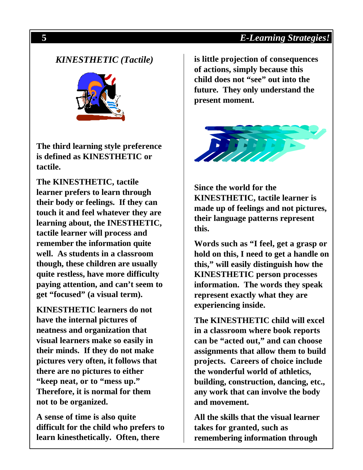### *KINESTHETIC (Tactile)*



**The third learning style preference is defined as KINESTHETIC or tactile.** 

**The KINESTHETIC, tactile learner prefers to learn through their body or feelings. If they can touch it and feel whatever they are learning about, the INESTHETIC, tactile learner will process and remember the information quite well. As students in a classroom though, these children are usually quite restless, have more difficulty paying attention, and can't seem to get "focused" (a visual term).** 

**KINESTHETIC learners do not have the internal pictures of neatness and organization that visual learners make so easily in their minds. If they do not make pictures very often, it follows that there are no pictures to either "keep neat, or to "mess up." Therefore, it is normal for them not to be organized.** 

**A sense of time is also quite difficult for the child who prefers to learn kinesthetically. Often, there** 

**is little projection of consequences of actions, simply because this child does not "see" out into the future. They only understand the present moment.** 



**Since the world for the KINESTHETIC, tactile learner is made up of feelings and not pictures, their language patterns represent this.** 

**Words such as "I feel, get a grasp or hold on this, I need to get a handle on this," will easily distinguish how the KINESTHETIC person processes information. The words they speak represent exactly what they are experiencing inside.**

**The KINESTHETIC child will excel in a classroom where book reports can be "acted out," and can choose assignments that allow them to build projects. Careers of choice include the wonderful world of athletics, building, construction, dancing, etc., any work that can involve the body and movement.** 

**All the skills that the visual learner takes for granted, such as remembering information through**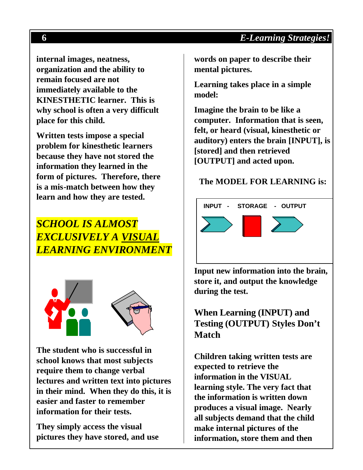**internal images, neatness, organization and the ability to remain focused are not immediately available to the KINESTHETIC learner. This is why school is often a very difficult place for this child.**

**Written tests impose a special problem for kinesthetic learners because they have not stored the information they learned in the form of pictures. Therefore, there is a mis-match between how they learn and how they are tested.**

# *SCHOOL IS ALMOST EXCLUSIVELY A VISUAL LEARNING ENVIRONMENT*



**The student who is successful in school knows that most subjects require them to change verbal lectures and written text into pictures in their mind. When they do this, it is easier and faster to remember information for their tests.** 

**They simply access the visual pictures they have stored, and use** 

**words on paper to describe their mental pictures.** 

**Learning takes place in a simple model:** 

**Imagine the brain to be like a computer. Information that is seen, felt, or heard (visual, kinesthetic or auditory) enters the brain [INPUT], is [stored] and then retrieved [OUTPUT] and acted upon.** 

#### **The MODEL FOR LEARNING is:**



**Input new information into the brain, store it, and output the knowledge during the test.**

**When Learning (INPUT) and Testing (OUTPUT) Styles Don't Match**

**Children taking written tests are expected to retrieve the information in the VISUAL learning style. The very fact that the information is written down produces a visual image. Nearly all subjects demand that the child make internal pictures of the information, store them and then**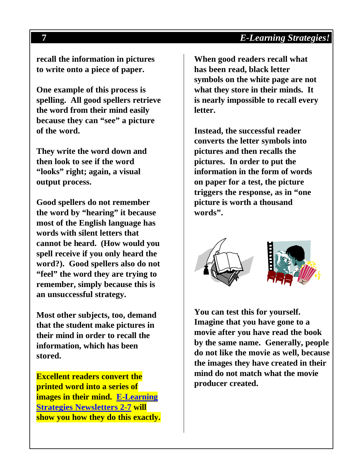**recall the information in pictures to write onto a piece of paper.**

**One example of this process is spelling. All good spellers retrieve the word from their mind easily because they can "see" a picture of the word.** 

**They write the word down and then look to see if the word "looks" right; again, a visual output process.** 

**Good spellers do not remember the word by "hearing" it because most of the English language has words with silent letters that cannot be heard. (How would you spell receive if you only heard the word?). Good spellers also do not "feel" the word they are trying to remember, simply because this is an unsuccessful strategy.**

**Most other subjects, too, demand that the student make pictures in their mind in order to recall the information, which has been stored.** 

**Excellent readers convert the printed word into a series of images in their mind. [E-Learning](http://www.howtolearn.com/elearning.html)  [Strategies Newsletters 2-7](http://www.howtolearn.com/elearning.html) will show you how they do this exactly.** 

**When good readers recall what has been read, black letter symbols on the white page are not what they store in their minds. It is nearly impossible to recall every letter.** 

**Instead, the successful reader converts the letter symbols into pictures and then recalls the pictures. In order to put the information in the form of words on paper for a test, the picture triggers the response, as in "one picture is worth a thousand words".**



**You can test this for yourself. Imagine that you have gone to a movie after you have read the book by the same name. Generally, people do not like the movie as well, because the images they have created in their mind do not match what the movie producer created.**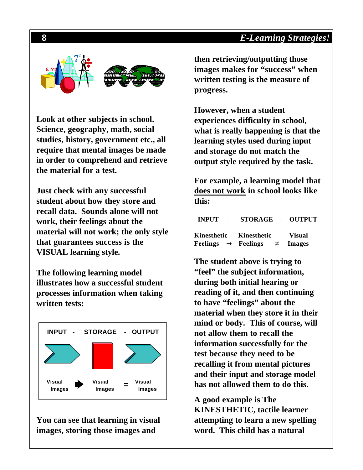

**Look at other subjects in school. Science, geography, math, social studies, history, government etc., all require that mental images be made in order to comprehend and retrieve the material for a test.** 

**Just check with any successful student about how they store and recall data. Sounds alone will not work, their feelings about the material will not work; the only style that guarantees success is the VISUAL learning style.** 

**The following learning model illustrates how a successful student processes information when taking written tests:**



**You can see that learning in visual images, storing those images and** 

**then retrieving/outputting those images makes for "success" when written testing is the measure of progress.**

**However, when a student experiences difficulty in school, what is really happening is that the learning styles used during input and storage do not match the output style required by the task.** 

**For example, a learning model that does not work in school looks like this:**

| INPUT -                 |  | STORAGE - OUTPUT                 |               |
|-------------------------|--|----------------------------------|---------------|
| Kinesthetic Kinesthetic |  |                                  | Visual        |
|                         |  | Feelings ® Feelings <sup>1</sup> | <b>Images</b> |

**The student above is trying to "feel" the subject information, during both initial hearing or reading of it, and then continuing to have "feelings" about the material when they store it in their mind or body. This of course, will not allow them to recall the information successfully for the test because they need to be recalling it from mental pictures and their input and storage model has not allowed them to do this.**

**A good example is The KINESTHETIC, tactile learner attempting to learn a new spelling word. This child has a natural**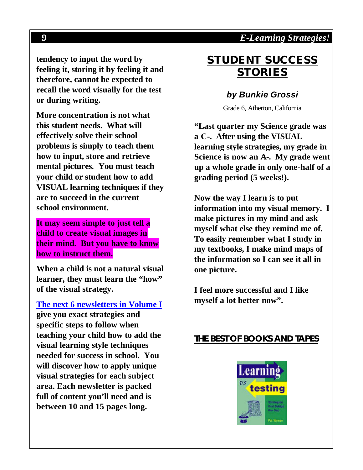**tendency to input the word by feeling it, storing it by feeling it and therefore, cannot be expected to recall the word visually for the test or during writing.**

**More concentration is not what this student needs. What will effectively solve their school problems is simply to teach them how to input, store and retrieve mental pictures***.* **You must teach your child or student how to add VISUAL learning techniques if they are to succeed in the current school environment.**

**It may seem simple to just tell a child to create visual images in their mind. But you have to know how to instruct them.** 

**When a child is not a natural visual learner, they must learn the "how" of the visual strategy.**

**[The next 6 newsletters in Volume I](http://www.howtolearn.com/elearning.html)**

**give you exact strategies and specific steps to follow when teaching your child how to add the visual learning style techniques needed for success in school. You will discover how to apply unique visual strategies for each subject area. Each newsletter is packed full of content you'll need and is between 10 and 15 pages long.**

# **STUDENT SUCCESS STORIES**

#### *by Bunkie Grossi*

Grade 6, Atherton, California

**"Last quarter my Science grade was a C-. After using the VISUAL learning style strategies, my grade in Science is now an A-. My grade went up a whole grade in only one-half of a grading period (5 weeks!).** 

**Now the way I learn is to put information into my visual memory. I make pictures in my mind and ask myself what else they remind me of. To easily remember what I study in my textbooks, I make mind maps of the information so I can see it all in one picture.** 

**I feel more successful and I like myself a lot better now".**

### *THE BEST OF BOOKS AND TAPES*

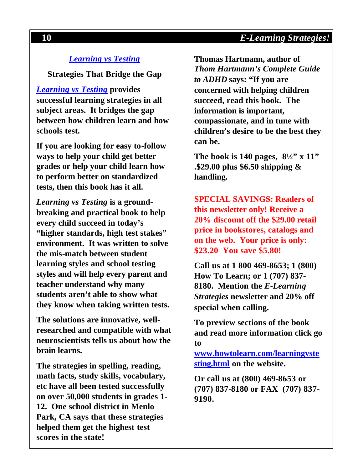#### *[Learning vs Testing](http://www.howtolearn.com/learningvstesting.html)*

**Strategies That Bridge the Gap**

*[Learning vs Testing](http://www.howtolearn.com/learningvstesting.html)* **provides successful learning strategies in all subject areas. It bridges the gap between how children learn and how schools test.**

**If you are looking for easy to-follow ways to help your child get better grades or help your child learn how to perform better on standardized tests, then this book has it all.**

*Learning vs Testing* **is a groundbreaking and practical book to help every child succeed in today's "higher standards, high test stakes" environment. It was written to solve the mis-match between student learning styles and school testing styles and will help every parent and teacher understand why many students aren't able to show what they know when taking written tests.**

**The solutions are innovative, wellresearched and compatible with what neuroscientists tells us about how the brain learns.** 

**The strategies in spelling, reading, math facts, study skills, vocabulary, etc have all been tested successfully on over 50,000 students in grades 1- 12. One school district in Menlo Park, CA says that these strategies helped them get the highest test scores in the state!**

**Thomas Hartmann, author of**  *Thom Hartmann's Complete Guide to ADHD* **says: "If you are concerned with helping children succeed, read this book. The information is important, compassionate, and in tune with children's desire to be the best they can be.**

**The book is 140 pages, 8½" x 11" .\$29.00 plus \$6.50 shipping & handling.**

**SPECIAL SAVINGS: Readers of this newsletter only! Receive a 20% discount off the \$29.00 retail price in bookstores, catalogs and on the web. Your price is only: \$23.20 You save \$5.80!**

**Call us at 1 800 469-8653; 1 (800) How To Learn; or 1 (707) 837- 8180. Mention the** *E-Learning Strategies* **newsletter and 20% off special when calling.**

**To preview sections of the book and read more information click go to** 

**[www.howtolearn.com/learningvste](http://www.howtolearn.com/learningvstesting.html) sting.html on the website.**

**Or call us at (800) 469-8653 or (707) 837-8180 or FAX (707) 837- 9190.**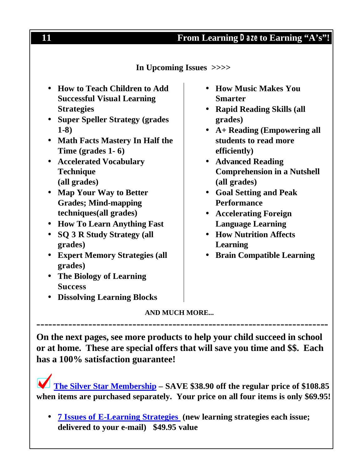#### **11 From Learning** *Daze* **to Earning "A's"!**

#### **In Upcoming Issues >>>>**

- **How to Teach Children to Add Successful Visual Learning Strategies**
- **Super Speller Strategy (grades 1-8)**
- **Math Facts Mastery In Half the Time (grades 1- 6)**
- **Accelerated Vocabulary Technique (all grades)**
- **Map Your Way to Better Grades; Mind-mapping techniques(all grades)**
- **How To Learn Anything Fast**
- **SQ 3 R Study Strategy (all grades)**
- **Expert Memory Strategies (all grades)**
- **The Biology of Learning Success**
- **Dissolving Learning Blocks**
- **How Music Makes You Smarter**
- **Rapid Reading Skills (all grades)**
- **A+ Reading (Empowering all students to read more efficiently)**
- **Advanced Reading Comprehension in a Nutshell (all grades)**
- **Goal Setting and Peak Performance**
- **Accelerating Foreign Language Learning**
- **How Nutrition Affects Learning**
- **Brain Compatible Learning**

#### **AND MUCH MORE...**

-------------------------------------------------------------------------

**On the next pages, see more products to help your child succeed in school or at home. These are special offers that will save you time and \$\$. Each has a 100% satisfaction guarantee!**

**[The Silver Star Membership](http://www.howtolearn.com/membership.html) – SAVE \$38.90 off the regular price of \$108.85 when items are purchased separately. Your price on all four items is only \$69.95!** 

• **[7 Issues of E-Learning Strategies](http://www.howtolearn.com/elearning.html) (new learning strategies each issue; delivered to your e-mail) \$49.95 value**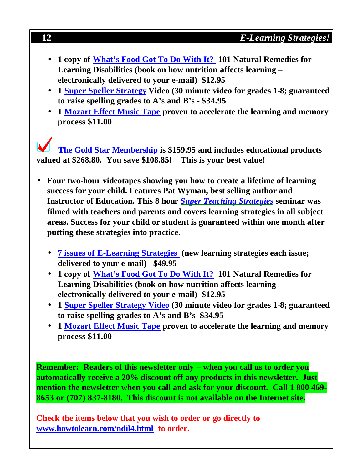- **1 copy of [What's Food Got To Do With It?](http://www.howtolearn.com/food.html) 101 Natural Remedies for Learning Disabilities (book on how nutrition affects learning – electronically delivered to your e-mail) \$12.95**
- **1 [Super Speller Strategy](http://www.howtolearn.com/speller.html) Video (30 minute video for grades 1-8; guaranteed to raise spelling grades to A's and B's - \$34.95**
- **1 [Mozart Effect Music Tape](http://www.howtolearn.com/Mozart.html) proven to accelerate the learning and memory process \$11.00**

 **[The Gold Star Membership](http://www.howtolearn.com/membership.html) is \$159.95 and includes educational products valued at \$268.80. You save \$108.85! This is your best value!** 

- **Four two-hour videotapes showing you how to create a lifetime of learning success for your child. Features Pat Wyman, best selling author and Instructor of Education. This 8 hour** *[Super Teaching Strategies](http://www.howtolearn.com/STSparents.html)* **seminar was filmed with teachers and parents and covers learning strategies in all subject areas. Success for your child or student is guaranteed within one month after putting these strategies into practice.**
	- **[7 issues of E-Learning Strategies](http://www.howtolearn.com/elearning.html) (new learning strategies each issue; delivered to your e-mail) \$49.95**
	- **1 copy of [What's Food Got To Do With It?](http://www.howtolearn.com/food.html) 101 Natural Remedies for Learning Disabilities (book on how nutrition affects learning – electronically delivered to your e-mail) \$12.95**
	- **1 [Super Speller Strategy Video](http://www.howtolearn.com/speller.html) (30 minute video for grades 1-8; guaranteed to raise spelling grades to A's and B's \$34.95**
	- **1 [Mozart Effect Music Tape](http://www.howtolearn.com/Mozart.html) proven to accelerate the learning and memory process \$11.00**

**Remember: Readers of this newsletter only – when you call us to order you automatically receive a 20% discount off any products in this newsletter. Just mention the newsletter when you call and ask for your discount. Call 1 800 469- 8653 or (707) 837-8180. This discount is not available on the Internet site.**

**Check the items below that you wish to order or go directly to [www.howtolearn.com/ndil4.html](http://www.howtolearn.com/ndil4.html) to order.**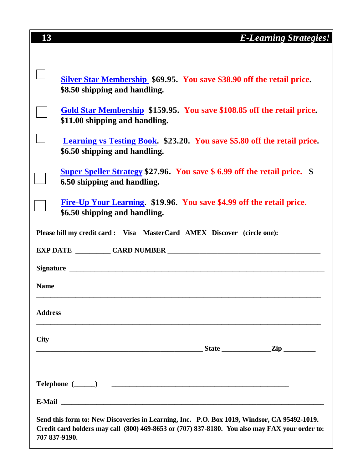| 13             | <b>E-Learning Strategies!</b>                                                                                                                                                                                  |  |  |  |
|----------------|----------------------------------------------------------------------------------------------------------------------------------------------------------------------------------------------------------------|--|--|--|
|                | <b>Silver Star Membership</b> \$69.95. You save \$38.90 off the retail price.<br>\$8.50 shipping and handling.                                                                                                 |  |  |  |
|                | Gold Star Membership \$159.95. You save \$108.85 off the retail price.<br>\$11.00 shipping and handling.                                                                                                       |  |  |  |
|                | <b>Learning vs Testing Book. \$23.20. You save \$5.80 off the retail price.</b><br>\$6.50 shipping and handling.                                                                                               |  |  |  |
|                | <b>Super Speller Strategy \$27.96. You save \$6.99 off the retail price.</b> \$<br>6.50 shipping and handling.                                                                                                 |  |  |  |
|                | Fire-Up Your Learning. \$19.96. You save \$4.99 off the retail price.<br>\$6.50 shipping and handling.                                                                                                         |  |  |  |
|                | Please bill my credit card : Visa MasterCard AMEX Discover (circle one):                                                                                                                                       |  |  |  |
|                |                                                                                                                                                                                                                |  |  |  |
|                |                                                                                                                                                                                                                |  |  |  |
| <b>Name</b>    |                                                                                                                                                                                                                |  |  |  |
| <b>Address</b> |                                                                                                                                                                                                                |  |  |  |
| <b>City</b>    | $\begin{array}{c c c c c} \hline \text{State} & \text{Zip} & \text{Iip} & \text{Iip} \end{array}$                                                                                                              |  |  |  |
|                |                                                                                                                                                                                                                |  |  |  |
|                |                                                                                                                                                                                                                |  |  |  |
|                | Send this form to: New Discoveries in Learning, Inc. P.O. Box 1019, Windsor, CA 95492-1019.<br>Credit card holders may call (800) 469-8653 or (707) 837-8180. You also may FAX your order to:<br>707 837-9190. |  |  |  |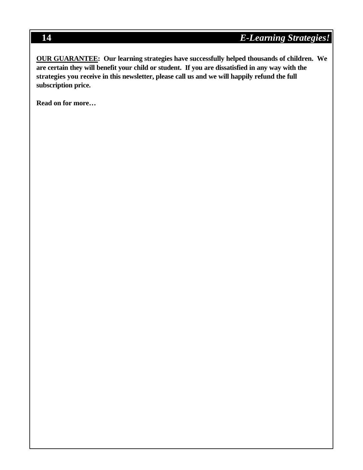**OUR GUARANTEE: Our learning strategies have successfully helped thousands of children. We are certain they will benefit your child or student. If you are dissatisfied in any way with the strategies you receive in this newsletter, please call us and we will happily refund the full subscription price.**

**Read on for more…**